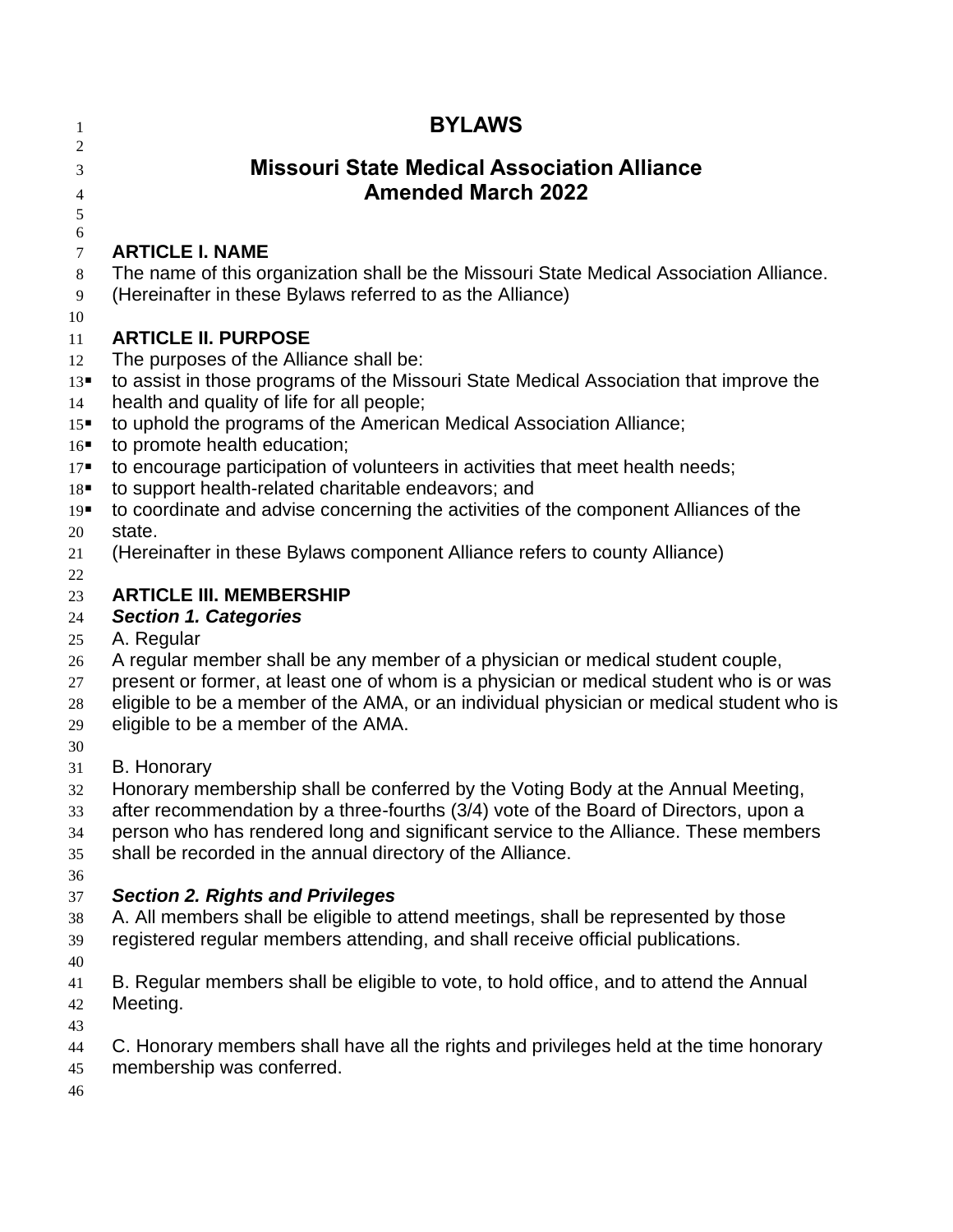| 1                                                         | <b>BYLAWS</b>                                                                                                                                                                                                                                                                                                                                                                                                                                                          |
|-----------------------------------------------------------|------------------------------------------------------------------------------------------------------------------------------------------------------------------------------------------------------------------------------------------------------------------------------------------------------------------------------------------------------------------------------------------------------------------------------------------------------------------------|
| 2<br>3<br>$\overline{4}$<br>5                             | <b>Missouri State Medical Association Alliance</b><br><b>Amended March 2022</b>                                                                                                                                                                                                                                                                                                                                                                                        |
| 6<br>$\tau$<br>8<br>9<br>10<br>11<br>12<br>13<br>14<br>15 | <b>ARTICLE I. NAME</b><br>The name of this organization shall be the Missouri State Medical Association Alliance.<br>(Hereinafter in these Bylaws referred to as the Alliance)<br><b>ARTICLE II. PURPOSE</b><br>The purposes of the Alliance shall be:<br>to assist in those programs of the Missouri State Medical Association that improve the<br>health and quality of life for all people;<br>to uphold the programs of the American Medical Association Alliance; |
| 16<br>$17 -$<br>18<br>19<br>20<br>21                      | to promote health education;<br>to encourage participation of volunteers in activities that meet health needs;<br>to support health-related charitable endeavors; and<br>to coordinate and advise concerning the activities of the component Alliances of the<br>state.<br>(Hereinafter in these Bylaws component Alliance refers to county Alliance)                                                                                                                  |
| 22<br>23<br>24<br>25<br>26<br>27<br>28<br>29              | <b>ARTICLE III. MEMBERSHIP</b><br><b>Section 1. Categories</b><br>A. Regular<br>A regular member shall be any member of a physician or medical student couple,<br>present or former, at least one of whom is a physician or medical student who is or was<br>eligible to be a member of the AMA, or an individual physician or medical student who is<br>eligible to be a member of the AMA.                                                                           |
| 30<br>31<br>32<br>33<br>34<br>35<br>36                    | <b>B.</b> Honorary<br>Honorary membership shall be conferred by the Voting Body at the Annual Meeting,<br>after recommendation by a three-fourths (3/4) vote of the Board of Directors, upon a<br>person who has rendered long and significant service to the Alliance. These members<br>shall be recorded in the annual directory of the Alliance.                                                                                                                    |
| 37<br>38<br>39<br>40                                      | <b>Section 2. Rights and Privileges</b><br>A. All members shall be eligible to attend meetings, shall be represented by those<br>registered regular members attending, and shall receive official publications.                                                                                                                                                                                                                                                        |
| 41<br>42<br>43                                            | B. Regular members shall be eligible to vote, to hold office, and to attend the Annual<br>Meeting.                                                                                                                                                                                                                                                                                                                                                                     |
| 44<br>45                                                  | C. Honorary members shall have all the rights and privileges held at the time honorary<br>membership was conferred.                                                                                                                                                                                                                                                                                                                                                    |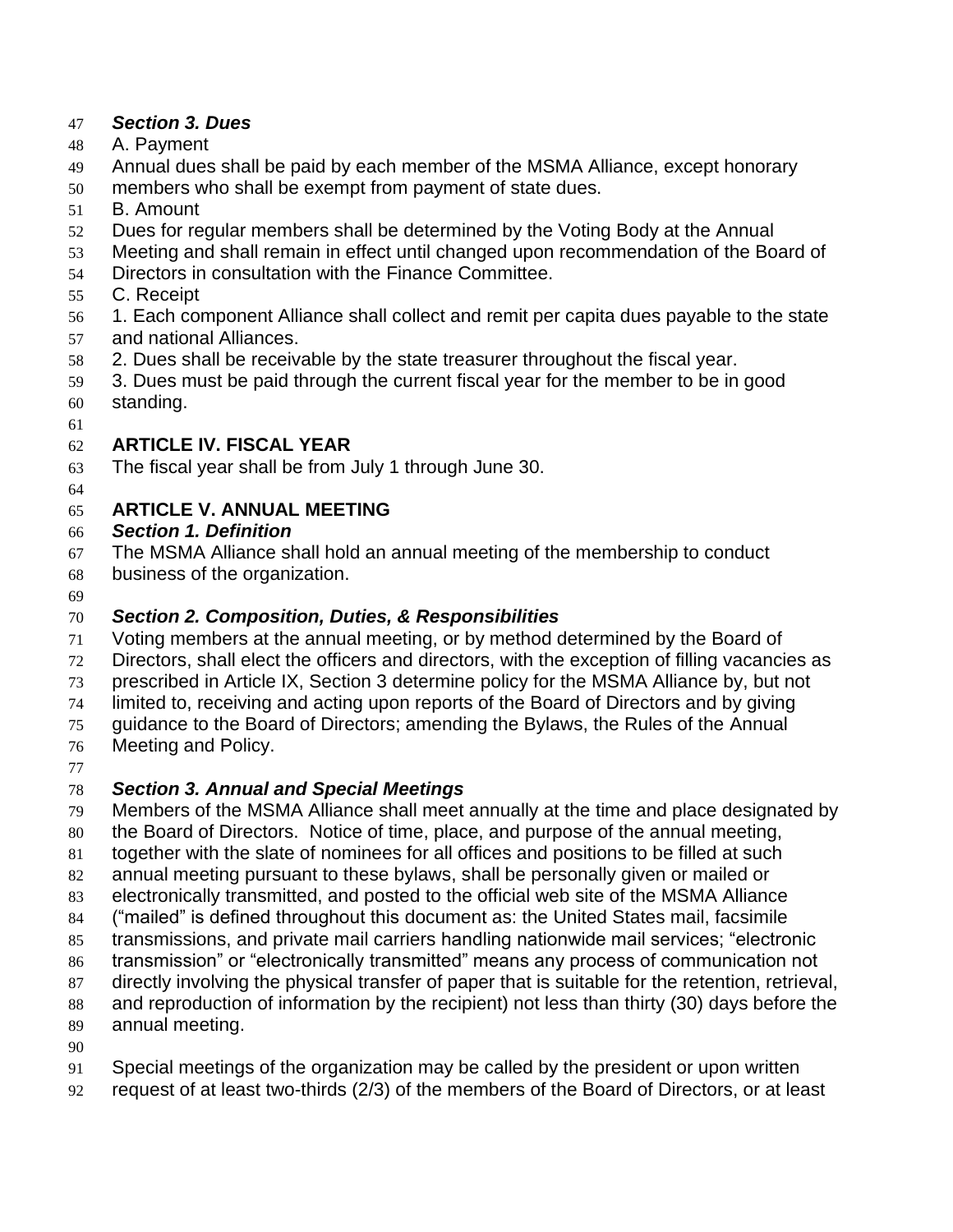#### *Section 3. Dues*

- A. Payment
- Annual dues shall be paid by each member of the MSMA Alliance, except honorary
- members who shall be exempt from payment of state dues.
- B. Amount
- Dues for regular members shall be determined by the Voting Body at the Annual
- Meeting and shall remain in effect until changed upon recommendation of the Board of
- Directors in consultation with the Finance Committee.
- C. Receipt
- 1. Each component Alliance shall collect and remit per capita dues payable to the state and national Alliances.
- 2. Dues shall be receivable by the state treasurer throughout the fiscal year.
- 3. Dues must be paid through the current fiscal year for the member to be in good
- standing.
- 

#### **ARTICLE IV. FISCAL YEAR**

- The fiscal year shall be from July 1 through June 30.
- 

## **ARTICLE V. ANNUAL MEETING**

- *Section 1. Definition*
- The MSMA Alliance shall hold an annual meeting of the membership to conduct
- business of the organization.
- 

### *Section 2. Composition, Duties, & Responsibilities*

- Voting members at the annual meeting, or by method determined by the Board of
- Directors, shall elect the officers and directors, with the exception of filling vacancies as
- prescribed in Article IX, Section 3 determine policy for the MSMA Alliance by, but not
- limited to, receiving and acting upon reports of the Board of Directors and by giving
- guidance to the Board of Directors; amending the Bylaws, the Rules of the Annual
- Meeting and Policy.
- 

# *Section 3. Annual and Special Meetings*

- Members of the MSMA Alliance shall meet annually at the time and place designated by
- the Board of Directors. Notice of time, place, and purpose of the annual meeting,
- together with the slate of nominees for all offices and positions to be filled at such
- annual meeting pursuant to these bylaws, shall be personally given or mailed or
- electronically transmitted, and posted to the official web site of the MSMA Alliance
- ("mailed" is defined throughout this document as: the United States mail, facsimile
- transmissions, and private mail carriers handling nationwide mail services; "electronic
- transmission" or "electronically transmitted" means any process of communication not
- directly involving the physical transfer of paper that is suitable for the retention, retrieval,
- and reproduction of information by the recipient) not less than thirty (30) days before the annual meeting.
- 
- Special meetings of the organization may be called by the president or upon written
- request of at least two-thirds (2/3) of the members of the Board of Directors, or at least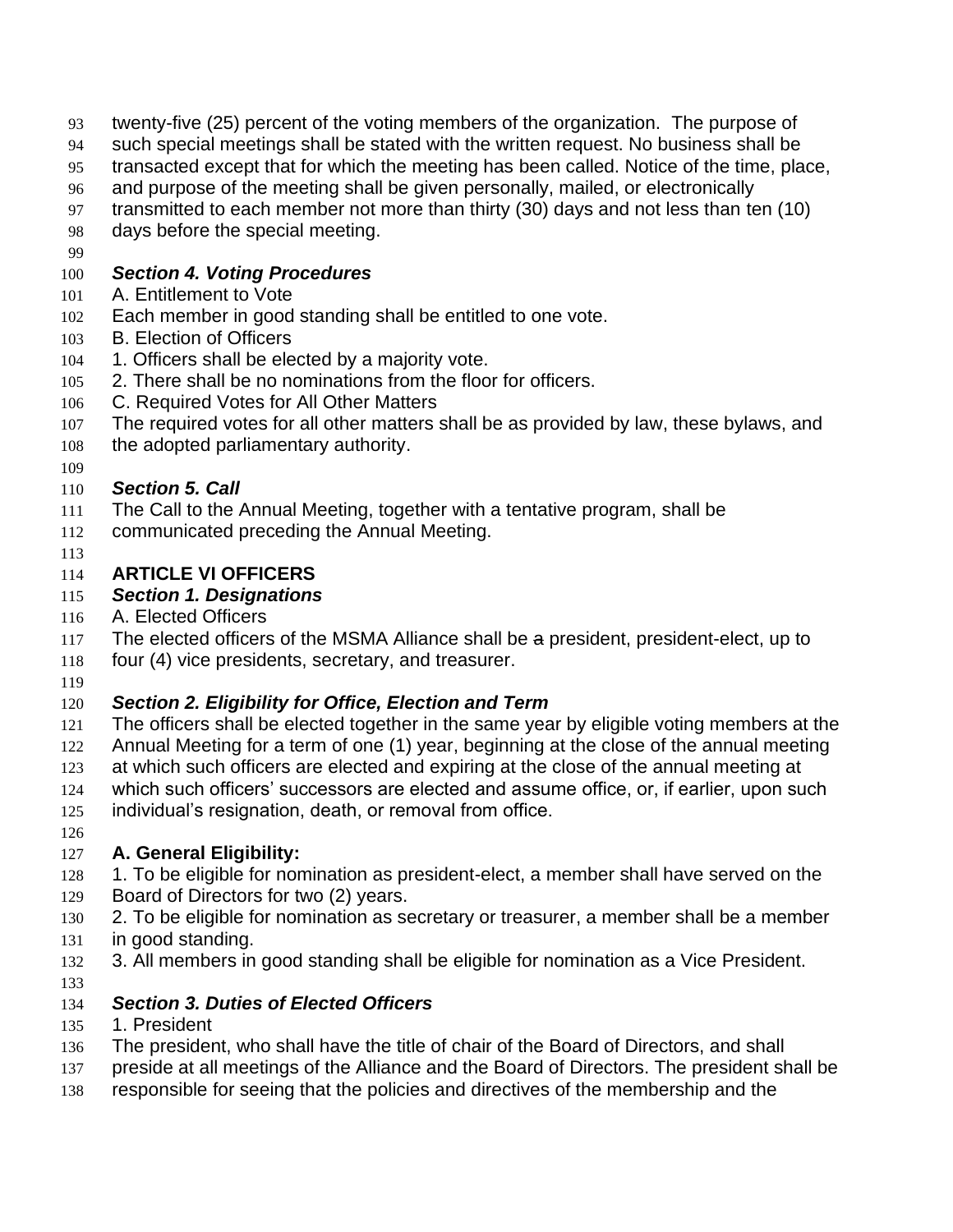- twenty-five (25) percent of the voting members of the organization. The purpose of
- such special meetings shall be stated with the written request. No business shall be
- transacted except that for which the meeting has been called. Notice of the time, place,
- and purpose of the meeting shall be given personally, mailed, or electronically
- transmitted to each member not more than thirty (30) days and not less than ten (10)
- days before the special meeting.
- 

#### *Section 4. Voting Procedures*

- A. Entitlement to Vote
- Each member in good standing shall be entitled to one vote.
- B. Election of Officers
- 104 1. Officers shall be elected by a majority vote.
- 2. There shall be no nominations from the floor for officers.
- C. Required Votes for All Other Matters
- The required votes for all other matters shall be as provided by law, these bylaws, and
- the adopted parliamentary authority.
- 

## *Section 5. Call*

- The Call to the Annual Meeting, together with a tentative program, shall be
- communicated preceding the Annual Meeting.
- 

## **ARTICLE VI OFFICERS**

#### *Section 1. Designations*

- A. Elected Officers
- The elected officers of the MSMA Alliance shall be a president, president-elect, up to
- four (4) vice presidents, secretary, and treasurer.
- 

# *Section 2. Eligibility for Office, Election and Term*

- The officers shall be elected together in the same year by eligible voting members at the
- Annual Meeting for a term of one (1) year, beginning at the close of the annual meeting at which such officers are elected and expiring at the close of the annual meeting at
- which such officers' successors are elected and assume office, or, if earlier, upon such
- 
- individual's resignation, death, or removal from office.
- 

# **A. General Eligibility:**

- 128 1. To be eligible for nomination as president-elect, a member shall have served on the Board of Directors for two (2) years.
- 2. To be eligible for nomination as secretary or treasurer, a member shall be a member
- in good standing.
- 3. All members in good standing shall be eligible for nomination as a Vice President.
- 

# *Section 3. Duties of Elected Officers*

- 1. President
- The president, who shall have the title of chair of the Board of Directors, and shall
- preside at all meetings of the Alliance and the Board of Directors. The president shall be
- responsible for seeing that the policies and directives of the membership and the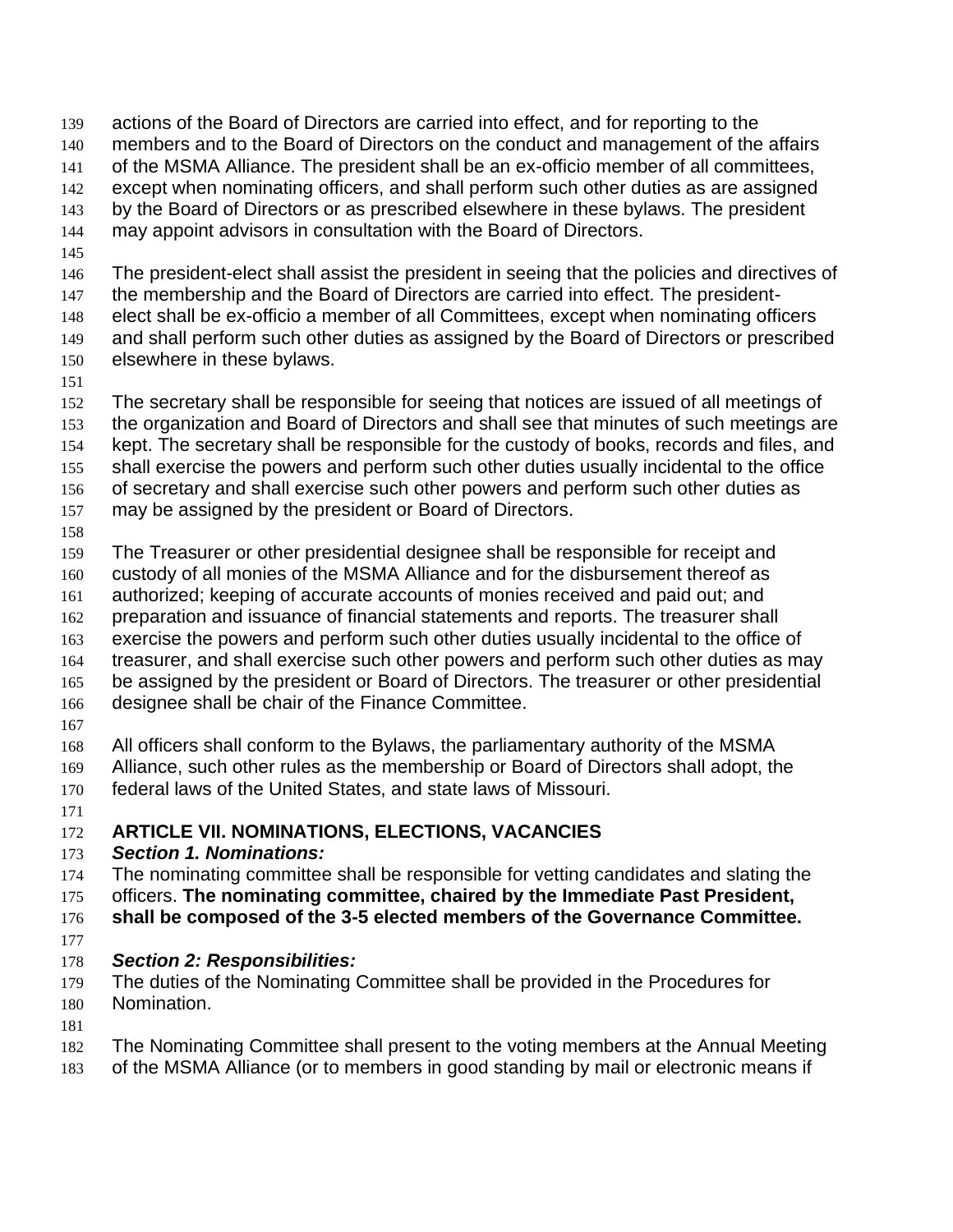actions of the Board of Directors are carried into effect, and for reporting to the members and to the Board of Directors on the conduct and management of the affairs of the MSMA Alliance. The president shall be an ex-officio member of all committees, except when nominating officers, and shall perform such other duties as are assigned by the Board of Directors or as prescribed elsewhere in these bylaws. The president may appoint advisors in consultation with the Board of Directors.

The president-elect shall assist the president in seeing that the policies and directives of

 the membership and the Board of Directors are carried into effect. The president-elect shall be ex-officio a member of all Committees, except when nominating officers

and shall perform such other duties as assigned by the Board of Directors or prescribed

- elsewhere in these bylaws.
- 

 The secretary shall be responsible for seeing that notices are issued of all meetings of the organization and Board of Directors and shall see that minutes of such meetings are

kept. The secretary shall be responsible for the custody of books, records and files, and

shall exercise the powers and perform such other duties usually incidental to the office

of secretary and shall exercise such other powers and perform such other duties as

- may be assigned by the president or Board of Directors.
- 

The Treasurer or other presidential designee shall be responsible for receipt and

custody of all monies of the MSMA Alliance and for the disbursement thereof as

- authorized; keeping of accurate accounts of monies received and paid out; and
- preparation and issuance of financial statements and reports. The treasurer shall
- exercise the powers and perform such other duties usually incidental to the office of
- treasurer, and shall exercise such other powers and perform such other duties as may
- be assigned by the president or Board of Directors. The treasurer or other presidential
- designee shall be chair of the Finance Committee.
- 

All officers shall conform to the Bylaws, the parliamentary authority of the MSMA

- Alliance, such other rules as the membership or Board of Directors shall adopt, the federal laws of the United States, and state laws of Missouri.
- 

#### **ARTICLE VII. NOMINATIONS, ELECTIONS, VACANCIES**

#### *Section 1. Nominations:*

The nominating committee shall be responsible for vetting candidates and slating the

officers. **The nominating committee, chaired by the Immediate Past President,** 

**shall be composed of the 3-5 elected members of the Governance Committee.**

#### *Section 2: Responsibilities:*

- The duties of the Nominating Committee shall be provided in the Procedures for
- Nomination.

The Nominating Committee shall present to the voting members at the Annual Meeting

of the MSMA Alliance (or to members in good standing by mail or electronic means if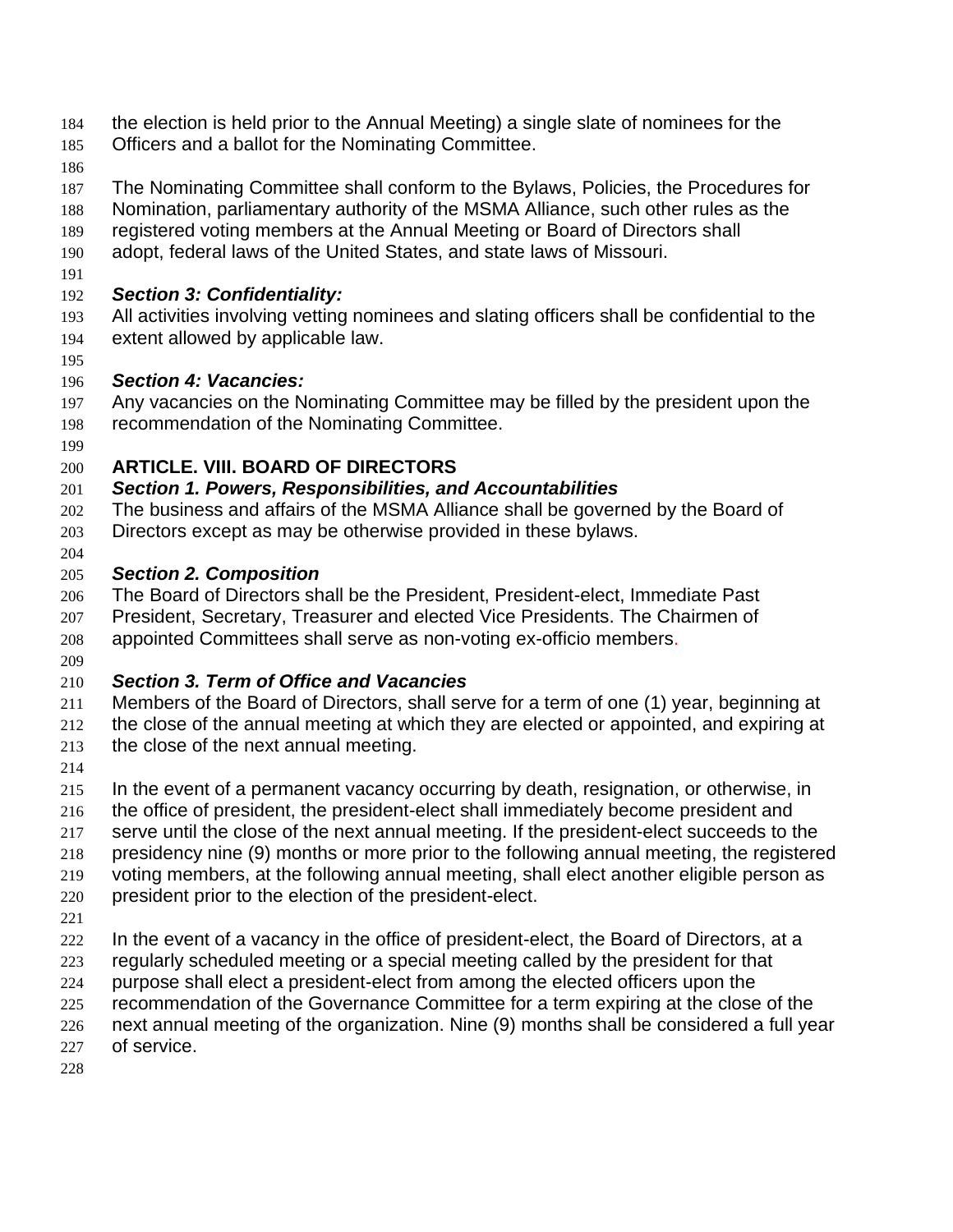- the election is held prior to the Annual Meeting) a single slate of nominees for the
- Officers and a ballot for the Nominating Committee.
- 
- The Nominating Committee shall conform to the Bylaws, Policies, the Procedures for
- Nomination, parliamentary authority of the MSMA Alliance, such other rules as the
- registered voting members at the Annual Meeting or Board of Directors shall
- adopt, federal laws of the United States, and state laws of Missouri.
- 

#### *Section 3: Confidentiality:*

- All activities involving vetting nominees and slating officers shall be confidential to the extent allowed by applicable law.
- 

#### *Section 4: Vacancies:*

- Any vacancies on the Nominating Committee may be filled by the president upon the recommendation of the Nominating Committee.
- 

#### **ARTICLE. VIII. BOARD OF DIRECTORS**

#### *Section 1. Powers, Responsibilities, and Accountabilities*

- The business and affairs of the MSMA Alliance shall be governed by the Board of Directors except as may be otherwise provided in these bylaws.
- 

#### *Section 2. Composition*

- The Board of Directors shall be the President, President-elect, Immediate Past
- President, Secretary, Treasurer and elected Vice Presidents. The Chairmen of appointed Committees shall serve as non-voting ex-officio members.
- 

# *Section 3. Term of Office and Vacancies*

- Members of the Board of Directors, shall serve for a term of one (1) year, beginning at
- the close of the annual meeting at which they are elected or appointed, and expiring at
- the close of the next annual meeting.
- 
- In the event of a permanent vacancy occurring by death, resignation, or otherwise, in
- the office of president, the president-elect shall immediately become president and
- serve until the close of the next annual meeting. If the president-elect succeeds to the
- presidency nine (9) months or more prior to the following annual meeting, the registered
- voting members, at the following annual meeting, shall elect another eligible person as
- president prior to the election of the president-elect.
- 
- In the event of a vacancy in the office of president-elect, the Board of Directors, at a
- regularly scheduled meeting or a special meeting called by the president for that
- purpose shall elect a president-elect from among the elected officers upon the
- recommendation of the Governance Committee for a term expiring at the close of the
- next annual meeting of the organization. Nine (9) months shall be considered a full year
- of service.
-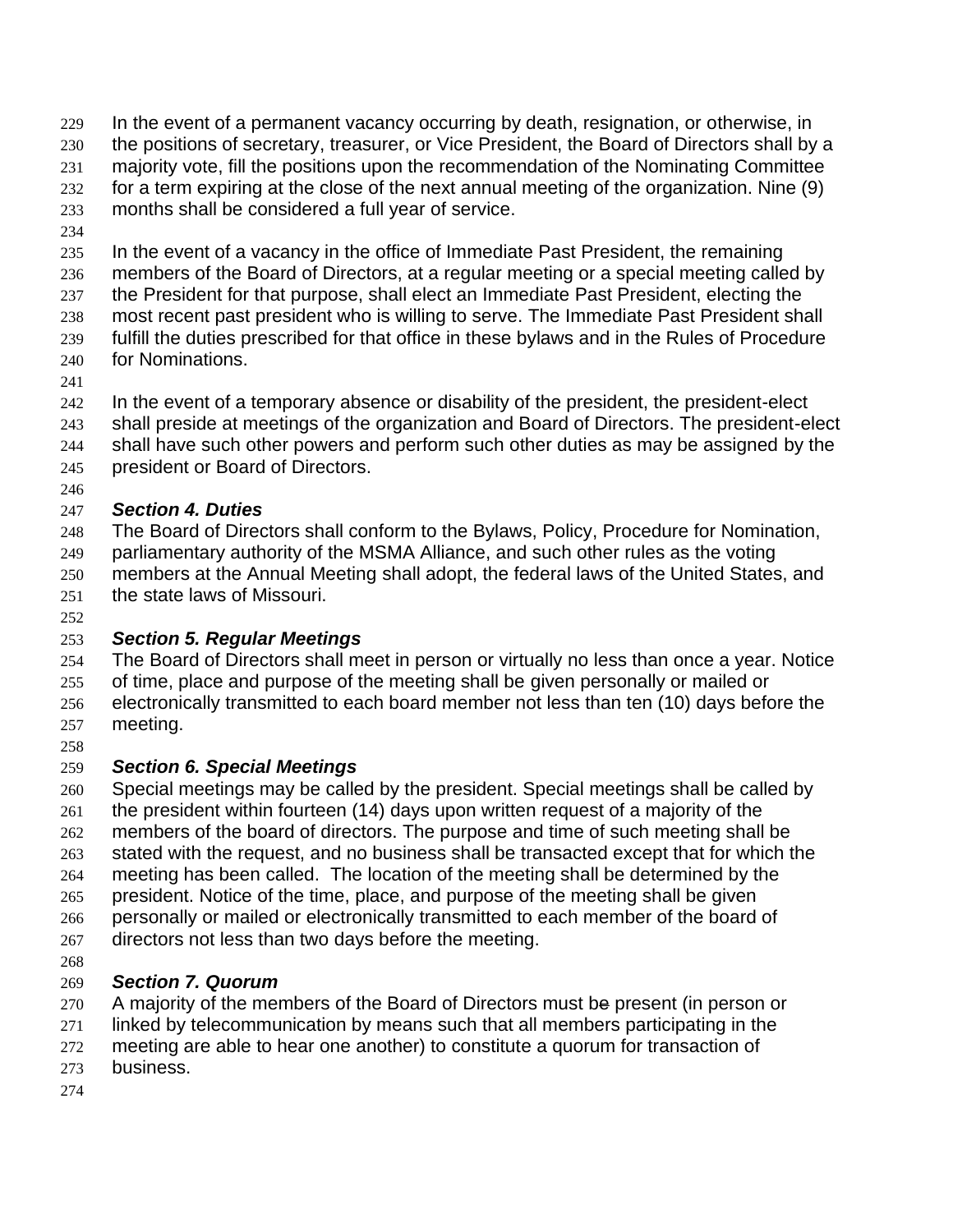In the event of a permanent vacancy occurring by death, resignation, or otherwise, in the positions of secretary, treasurer, or Vice President, the Board of Directors shall by a majority vote, fill the positions upon the recommendation of the Nominating Committee

- for a term expiring at the close of the next annual meeting of the organization. Nine (9)
- months shall be considered a full year of service.
- 

 In the event of a vacancy in the office of Immediate Past President, the remaining members of the Board of Directors, at a regular meeting or a special meeting called by the President for that purpose, shall elect an Immediate Past President, electing the most recent past president who is willing to serve. The Immediate Past President shall

- fulfill the duties prescribed for that office in these bylaws and in the Rules of Procedure for Nominations.
- 

In the event of a temporary absence or disability of the president, the president-elect

- shall preside at meetings of the organization and Board of Directors. The president-elect
- shall have such other powers and perform such other duties as may be assigned by the
- president or Board of Directors.
- 

# *Section 4. Duties*

 The Board of Directors shall conform to the Bylaws, Policy, Procedure for Nomination, parliamentary authority of the MSMA Alliance, and such other rules as the voting members at the Annual Meeting shall adopt, the federal laws of the United States, and

- the state laws of Missouri.
- 

# *Section 5. Regular Meetings*

 The Board of Directors shall meet in person or virtually no less than once a year. Notice of time, place and purpose of the meeting shall be given personally or mailed or electronically transmitted to each board member not less than ten (10) days before the meeting.

# *Section 6. Special Meetings*

 Special meetings may be called by the president. Special meetings shall be called by the president within fourteen (14) days upon written request of a majority of the members of the board of directors. The purpose and time of such meeting shall be stated with the request, and no business shall be transacted except that for which the meeting has been called. The location of the meeting shall be determined by the president. Notice of the time, place, and purpose of the meeting shall be given personally or mailed or electronically transmitted to each member of the board of

- 267 directors not less than two days before the meeting.
- 

# *Section 7. Quorum*

270 A majority of the members of the Board of Directors must be present (in person or

linked by telecommunication by means such that all members participating in the

meeting are able to hear one another) to constitute a quorum for transaction of

- business.
-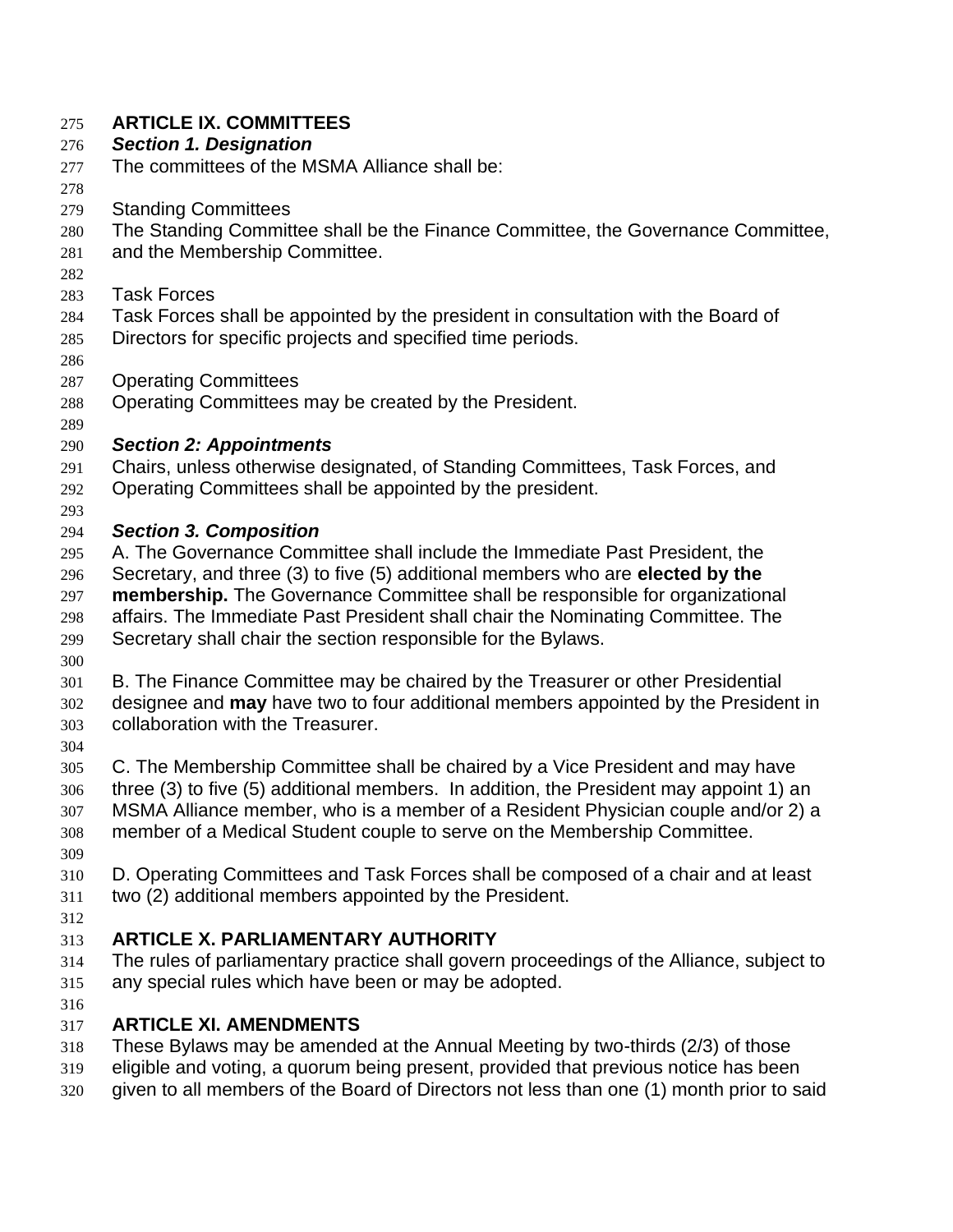#### **ARTICLE IX. COMMITTEES**

#### *Section 1. Designation*

- The committees of the MSMA Alliance shall be:
- 

Standing Committees

The Standing Committee shall be the Finance Committee, the Governance Committee,

- and the Membership Committee.
- 
- Task Forces
- Task Forces shall be appointed by the president in consultation with the Board of
- Directors for specific projects and specified time periods.
- 
- Operating Committees
- Operating Committees may be created by the President.
- 

## *Section 2: Appointments*

- Chairs, unless otherwise designated, of Standing Committees, Task Forces, and
- Operating Committees shall be appointed by the president.
- 

#### *Section 3. Composition*

- A. The Governance Committee shall include the Immediate Past President, the Secretary, and three (3) to five (5) additional members who are **elected by the membership.** The Governance Committee shall be responsible for organizational affairs. The Immediate Past President shall chair the Nominating Committee. The
- Secretary shall chair the section responsible for the Bylaws.
- 
- B. The Finance Committee may be chaired by the Treasurer or other Presidential designee and **may** have two to four additional members appointed by the President in collaboration with the Treasurer.
- 
- C. The Membership Committee shall be chaired by a Vice President and may have three (3) to five (5) additional members. In addition, the President may appoint 1) an MSMA Alliance member, who is a member of a Resident Physician couple and/or 2) a member of a Medical Student couple to serve on the Membership Committee.
- 
- D. Operating Committees and Task Forces shall be composed of a chair and at least two (2) additional members appointed by the President.

#### **ARTICLE X. PARLIAMENTARY AUTHORITY**

- The rules of parliamentary practice shall govern proceedings of the Alliance, subject to any special rules which have been or may be adopted.
- 

# **ARTICLE XI. AMENDMENTS**

- These Bylaws may be amended at the Annual Meeting by two-thirds (2/3) of those
- eligible and voting, a quorum being present, provided that previous notice has been
- given to all members of the Board of Directors not less than one (1) month prior to said